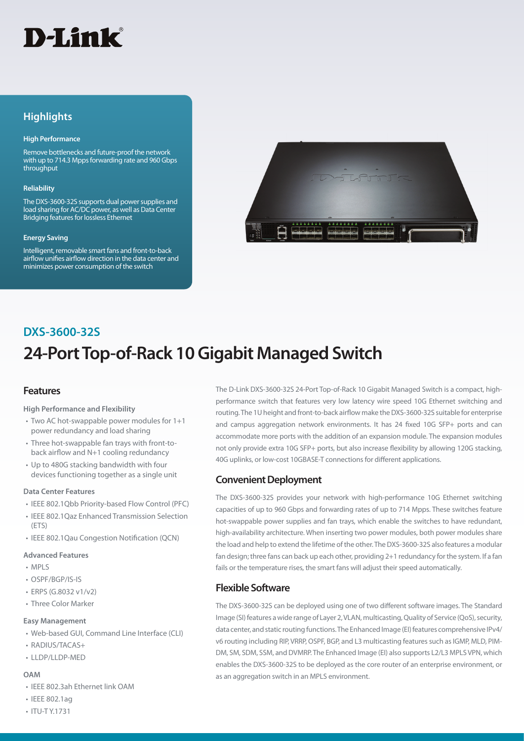# **D-Link**

# **Highlights**

#### **High Performance**

Remove bottlenecks and future-proof the network with up to 714.3 Mpps forwarding rate and 960 Gbps throughput

#### **Reliability**

The DXS-3600-32S supports dual power supplies and load sharing for AC/DC power, as well as Data Center Bridging features for lossless Ethernet

#### **Energy Saving**

Intelligent, removable smart fans and front-to-back airflow unifies airflow direction in the data center and minimizes power consumption of the switch



# **24-Port Top-of-Rack 10 Gigabit Managed Switch DXS-3600-32S**

### **Features**

### **High Performance and Flexibility**

- Two AC hot-swappable power modules for 1+1 power redundancy and load sharing
- Three hot-swappable fan trays with front-toback airflow and N+1 cooling redundancy
- Up to 480G stacking bandwidth with four devices functioning together as a single unit

### **Data Center Features**

- IEEE 802.1Qbb Priority-based Flow Control (PFC)
- IEEE 802.1Qaz Enhanced Transmission Selection (ETS)
- IEEE 802.1Qau Congestion Notification (QCN)

### **Advanced Features**

- MPLS
- OSPF/BGP/IS-IS
- ERPS (G.8032 v1/v2)
- Three Color Marker

### **Easy Management**

- Web-based GUI, Command Line Interface (CLI)
- RADIUS/TACAS+
- LLDP/LLDP-MED

### **OAM**

- IEEE 802.3ah Ethernet link OAM
- IEEE 802.1ag
- ITU-T Y.1731

The D-Link DXS-3600-32S 24-Port Top-of-Rack 10 Gigabit Managed Switch is a compact, highperformance switch that features very low latency wire speed 10G Ethernet switching and routing. The 1U height and front-to-back airflow make the DXS-3600-32S suitable for enterprise and campus aggregation network environments. It has 24 fixed 10G SFP+ ports and can accommodate more ports with the addition of an expansion module. The expansion modules not only provide extra 10G SFP+ ports, but also increase flexibility by allowing 120G stacking, 40G uplinks, or low-cost 10GBASE-T connections for different applications.

### **Convenient Deployment**

The DXS-3600-32S provides your network with high-performance 10G Ethernet switching capacities of up to 960 Gbps and forwarding rates of up to 714 Mpps. These switches feature hot-swappable power supplies and fan trays, which enable the switches to have redundant, high-availability architecture. When inserting two power modules, both power modules share the load and help to extend the lifetime of the other. The DXS-3600-32S also features a modular fan design; three fans can back up each other, providing 2+1 redundancy for the system. If a fan fails or the temperature rises, the smart fans will adjust their speed automatically.

# **Flexible Software**

The DXS-3600-32S can be deployed using one of two different software images. The Standard Image (SI) features a wide range of Layer 2, VLAN, multicasting, Quality of Service (QoS), security, data center, and static routing functions. The Enhanced Image (EI) features comprehensive IPv4/ v6 routing including RIP, VRRP, OSPF, BGP, and L3 multicasting features such as IGMP, MLD, PIM-DM, SM, SDM, SSM, and DVMRP. The Enhanced Image (EI) also supports L2/L3 MPLS VPN, which enables the DXS-3600-32S to be deployed as the core router of an enterprise environment, or as an aggregation switch in an MPLS environment.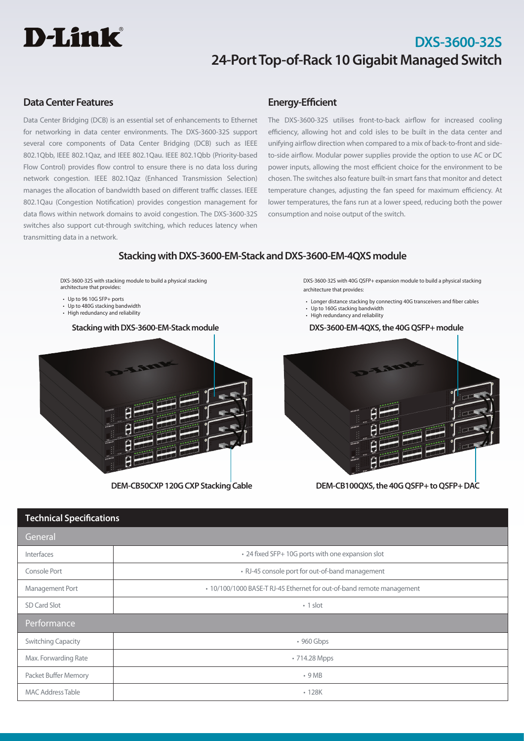

### **Data Center Features**

Data Center Bridging (DCB) is an essential set of enhancements to Ethernet for networking in data center environments. The DXS-3600-32S support several core components of Data Center Bridging (DCB) such as IEEE 802.1Qbb, IEEE 802.1Qaz, and IEEE 802.1Qau. IEEE 802.1Qbb (Priority-based Flow Control) provides flow control to ensure there is no data loss during network congestion. IEEE 802.1Qaz (Enhanced Transmission Selection) manages the allocation of bandwidth based on different traffic classes. IEEE 802.1Qau (Congestion Notification) provides congestion management for data flows within network domains to avoid congestion. The DXS-3600-32S switches also support cut-through switching, which reduces latency when transmitting data in a network.

## **Energy-Efficient**

The DXS-3600-32S utilises front-to-back airflow for increased cooling efficiency, allowing hot and cold isles to be built in the data center and unifying airflow direction when compared to a mix of back-to-front and sideto-side airflow. Modular power supplies provide the option to use AC or DC power inputs, allowing the most efficient choice for the environment to be chosen. The switches also feature built-in smart fans that monitor and detect temperature changes, adjusting the fan speed for maximum efficiency. At lower temperatures, the fans run at a lower speed, reducing both the power consumption and noise output of the switch.

### **Stacking with DXS-3600-EM-Stack and DXS-3600-EM-4QXS module**

DXS-3600-32S with stacking module to build a physical stacking architecture that provides:

- Up to 96 10G SFP+ ports
- Up to 480G stacking bandwidth
- High redundancy and reliability

**Stacking with DXS-3600-EM-Stack module**



**DEM-CB50CXP 120G CXP Stacking Cable**

DXS-3600-32S with 40G QSFP+ expansion module to build a physical stacking architecture that provides:

- Longer distance stacking by connecting 40G transceivers and fiber cables • Up to 160G stacking bandwidth
- High redundancy and reliability

#### **DXS-3600-EM-4QXS, the 40G QSFP+ module**



**DEM-CB100QXS, the 40G QSFP+ to QSFP+ DAC**

| <b>Technical Specifications</b> |                                                                       |  |
|---------------------------------|-----------------------------------------------------------------------|--|
| General                         |                                                                       |  |
| Interfaces                      | • 24 fixed SFP+ 10G ports with one expansion slot                     |  |
| Console Port                    | • RJ-45 console port for out-of-band management                       |  |
| Management Port                 | • 10/100/1000 BASE-T RJ-45 Ethernet for out-of-band remote management |  |
| SD Card Slot                    | $\cdot$ 1 slot                                                        |  |
| Performance                     |                                                                       |  |
| <b>Switching Capacity</b>       | • 960 Gbps                                                            |  |
| Max. Forwarding Rate            | • 714.28 Mpps                                                         |  |
| Packet Buffer Memory            | $\cdot$ 9 MB                                                          |  |
| <b>MAC Address Table</b>        | $\cdot$ 128K                                                          |  |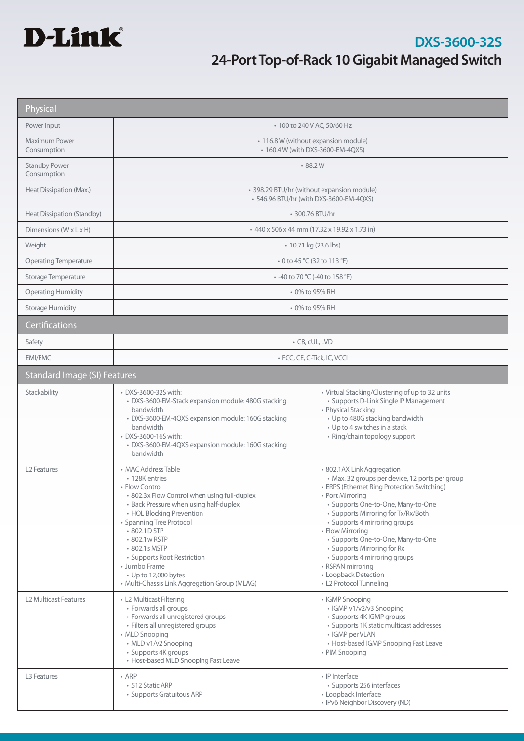

| Physical                            |                                                                                                                                                                                                                                                                                                                                                                                       |                                                                                                                                                                                                                                                                                                                                                                                                                                                                  |  |
|-------------------------------------|---------------------------------------------------------------------------------------------------------------------------------------------------------------------------------------------------------------------------------------------------------------------------------------------------------------------------------------------------------------------------------------|------------------------------------------------------------------------------------------------------------------------------------------------------------------------------------------------------------------------------------------------------------------------------------------------------------------------------------------------------------------------------------------------------------------------------------------------------------------|--|
| Power Input                         |                                                                                                                                                                                                                                                                                                                                                                                       | • 100 to 240 V AC, 50/60 Hz                                                                                                                                                                                                                                                                                                                                                                                                                                      |  |
| Maximum Power<br>Consumption        | · 116.8 W (without expansion module)<br>• 160.4 W (with DXS-3600-EM-4QXS)                                                                                                                                                                                                                                                                                                             |                                                                                                                                                                                                                                                                                                                                                                                                                                                                  |  |
| <b>Standby Power</b><br>Consumption | 88.2W                                                                                                                                                                                                                                                                                                                                                                                 |                                                                                                                                                                                                                                                                                                                                                                                                                                                                  |  |
| Heat Dissipation (Max.)             | · 398.29 BTU/hr (without expansion module)<br>• 546.96 BTU/hr (with DXS-3600-EM-4QXS)                                                                                                                                                                                                                                                                                                 |                                                                                                                                                                                                                                                                                                                                                                                                                                                                  |  |
| Heat Dissipation (Standby)          | · 300.76 BTU/hr                                                                                                                                                                                                                                                                                                                                                                       |                                                                                                                                                                                                                                                                                                                                                                                                                                                                  |  |
| Dimensions (W x L x H)              |                                                                                                                                                                                                                                                                                                                                                                                       | +440 x 506 x 44 mm (17.32 x 19.92 x 1.73 in)                                                                                                                                                                                                                                                                                                                                                                                                                     |  |
| Weight                              |                                                                                                                                                                                                                                                                                                                                                                                       | • 10.71 kg (23.6 lbs)                                                                                                                                                                                                                                                                                                                                                                                                                                            |  |
| <b>Operating Temperature</b>        |                                                                                                                                                                                                                                                                                                                                                                                       | • 0 to 45 °C (32 to 113 °F)                                                                                                                                                                                                                                                                                                                                                                                                                                      |  |
| Storage Temperature                 |                                                                                                                                                                                                                                                                                                                                                                                       | • -40 to 70 °C (-40 to 158 °F)                                                                                                                                                                                                                                                                                                                                                                                                                                   |  |
| <b>Operating Humidity</b>           |                                                                                                                                                                                                                                                                                                                                                                                       | • 0% to 95% RH                                                                                                                                                                                                                                                                                                                                                                                                                                                   |  |
| <b>Storage Humidity</b>             |                                                                                                                                                                                                                                                                                                                                                                                       | • 0% to 95% RH                                                                                                                                                                                                                                                                                                                                                                                                                                                   |  |
| Certifications                      |                                                                                                                                                                                                                                                                                                                                                                                       |                                                                                                                                                                                                                                                                                                                                                                                                                                                                  |  |
| Safety                              | • CB, cUL, LVD                                                                                                                                                                                                                                                                                                                                                                        |                                                                                                                                                                                                                                                                                                                                                                                                                                                                  |  |
| <b>EMI/EMC</b>                      |                                                                                                                                                                                                                                                                                                                                                                                       | · FCC, CE, C-Tick, IC, VCCI                                                                                                                                                                                                                                                                                                                                                                                                                                      |  |
| <b>Standard Image (SI) Features</b> |                                                                                                                                                                                                                                                                                                                                                                                       |                                                                                                                                                                                                                                                                                                                                                                                                                                                                  |  |
| Stackability                        | • DXS-3600-32S with:<br>· DXS-3600-EM-Stack expansion module: 480G stacking<br>bandwidth<br>· DXS-3600-EM-4QXS expansion module: 160G stacking<br>bandwidth<br>• DXS-3600-16S with:<br>· DXS-3600-EM-4QXS expansion module: 160G stacking<br>bandwidth                                                                                                                                | • Virtual Stacking/Clustering of up to 32 units<br>• Supports D-Link Single IP Management<br>• Physical Stacking<br>• Up to 480G stacking bandwidth<br>• Up to 4 switches in a stack<br>• Ring/chain topology support                                                                                                                                                                                                                                            |  |
| L <sub>2</sub> Features             | • MAC Address Table<br>• 128K entries<br>• Flow Control<br>• 802.3x Flow Control when using full-duplex<br>• Back Pressure when using half-duplex<br>• HOL Blocking Prevention<br>• Spanning Tree Protocol<br>• 802.1D STP<br>• 802.1w RSTP<br>• 802.1s MSTP<br>• Supports Root Restriction<br>• Jumbo Frame<br>• Up to 12,000 bytes<br>• Multi-Chassis Link Aggregation Group (MLAG) | · 802.1AX Link Aggregation<br>· Max. 32 groups per device, 12 ports per group<br>• ERPS (Ethernet Ring Protection Switching)<br>• Port Mirroring<br>• Supports One-to-One, Many-to-One<br>• Supports Mirroring for Tx/Rx/Both<br>• Supports 4 mirroring groups<br>• Flow Mirroring<br>• Supports One-to-One, Many-to-One<br>• Supports Mirroring for Rx<br>• Supports 4 mirroring groups<br>• RSPAN mirroring<br>• Loopback Detection<br>• L2 Protocol Tunneling |  |
| L <sub>2</sub> Multicast Features   | • L2 Multicast Filtering<br>• Forwards all groups<br>• Forwards all unregistered groups<br>• Filters all unregistered groups<br>• MLD Snooping<br>• MLD v1/v2 Snooping<br>• Supports 4K groups<br>• Host-based MLD Snooping Fast Leave                                                                                                                                                | • IGMP Snooping<br>· IGMP v1/v2/v3 Snooping<br>• Supports 4K IGMP groups<br>• Supports 1K static multicast addresses<br>• IGMP per VLAN<br>• Host-based IGMP Snooping Fast Leave<br>• PIM Snooping                                                                                                                                                                                                                                                               |  |
| L3 Features                         | $\cdot$ ARP<br>• 512 Static ARP<br>• Supports Gratuitous ARP                                                                                                                                                                                                                                                                                                                          | • IP Interface<br>• Supports 256 interfaces<br>• Loopback Interface<br>• IPv6 Neighbor Discovery (ND)                                                                                                                                                                                                                                                                                                                                                            |  |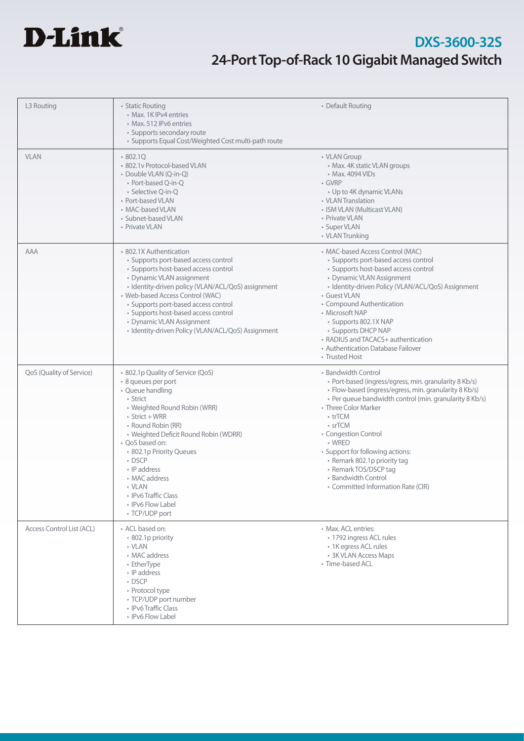

| L3 Routing                | • Static Routing<br>• Max. 1K IPv4 entries<br>• Max. 512 IPv6 entries<br>• Supports secondary route<br>• Supports Equal Cost/Weighted Cost multi-path route                                                                                                                                                                                                                                       | • Default Routing                                                                                                                                                                                                                                                                                                                                                                                                                            |
|---------------------------|---------------------------------------------------------------------------------------------------------------------------------------------------------------------------------------------------------------------------------------------------------------------------------------------------------------------------------------------------------------------------------------------------|----------------------------------------------------------------------------------------------------------------------------------------------------------------------------------------------------------------------------------------------------------------------------------------------------------------------------------------------------------------------------------------------------------------------------------------------|
| <b>VLAN</b>               | $\cdot$ 802.10<br>• 802.1v Protocol-based VLAN<br>• Double VLAN (Q-in-Q)<br>• Port-based Q-in-Q<br>• Selective Q-in-Q<br>• Port-based VLAN<br>• MAC-based VLAN<br>• Subnet-based VLAN<br>• Private VLAN                                                                                                                                                                                           | • VLAN Group<br>• Max. 4K static VLAN groups<br>• Max. 4094 VIDs<br>$\cdot$ GVRP<br>• Up to 4K dynamic VLANs<br>• VLAN Translation<br>• ISM VLAN (Multicast VLAN)<br>• Private VLAN<br>• Super VLAN<br>• VLAN Trunking                                                                                                                                                                                                                       |
| AAA                       | • 802.1X Authentication<br>• Supports port-based access control<br>• Supports host-based access control<br>• Dynamic VLAN assignment<br>· Identity-driven policy (VLAN/ACL/QoS) assignment<br>• Web-based Access Control (WAC)<br>• Supports port-based access control<br>• Supports host-based access control<br>• Dynamic VLAN Assignment<br>· Identity-driven Policy (VLAN/ACL/QoS) Assignment | • MAC-based Access Control (MAC)<br>• Supports port-based access control<br>• Supports host-based access control<br>• Dynamic VLAN Assignment<br>· Identity-driven Policy (VLAN/ACL/QoS) Assignment<br>• Guest VLAN<br>• Compound Authentication<br>• Microsoft NAP<br>· Supports 802.1X NAP<br>• Supports DHCP NAP<br>• RADIUS and TACACS+ authentication<br>• Authentication Database Failover<br>• Trusted Host                           |
| QoS (Quality of Service)  | • 802.1p Quality of Service (QoS)<br>· 8 queues per port<br>• Queue handling<br>• Strict<br>• Weighted Round Robin (WRR)<br>$\cdot$ Strict + WRR<br>• Round Robin (RR)<br>• Weighted Deficit Round Robin (WDRR)<br>• QoS based on:<br>• 802.1p Priority Queues<br>• DSCP<br>• IP address<br>• MAC address<br>$\cdot$ VLAN<br>• IPv6 Traffic Class<br>· IPv6 Flow Label<br>• TCP/UDP port          | • Bandwidth Control<br>• Port-based (ingress/egress, min. granularity 8 Kb/s)<br>· Flow-based (ingress/egress, min. granularity 8 Kb/s)<br>• Per queue bandwidth control (min. granularity 8 Kb/s)<br>• Three Color Marker<br>• trTCM<br>• srTCM<br>• Congestion Control<br>• WRED<br>• Support for following actions:<br>• Remark 802.1p priority tag<br>• Remark TOS/DSCP tag<br>• Bandwidth Control<br>• Committed Information Rate (CIR) |
| Access Control List (ACL) | • ACL based on:<br>• 802.1p priority<br>• VLAN<br>• MAC address<br>• EtherType<br>• IP address<br>• DSCP<br>• Protocol type<br>• TCP/UDP port number<br>• IPv6 Traffic Class<br>• IPv6 Flow Label                                                                                                                                                                                                 | • Max. ACL entries:<br>• 1792 ingress ACL rules<br>• 1K egress ACL rules<br>• 3K VLAN Access Maps<br>• Time-based ACL                                                                                                                                                                                                                                                                                                                        |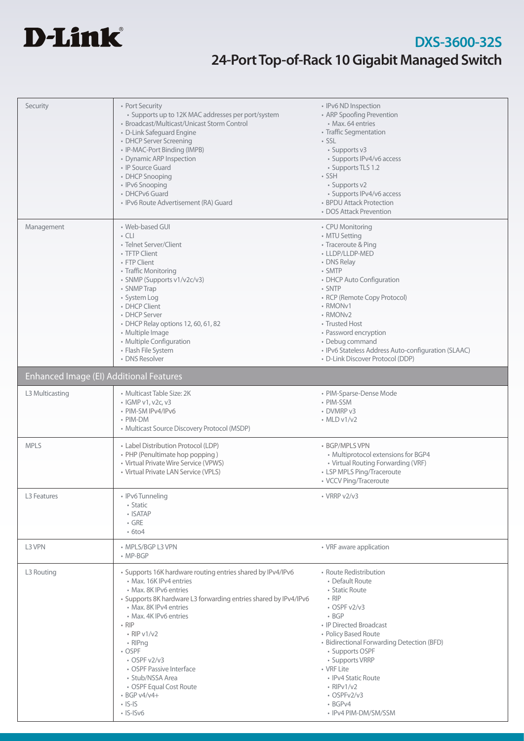

| Security                                | • Port Security                                                  | • IPv6 ND Inspection                                |
|-----------------------------------------|------------------------------------------------------------------|-----------------------------------------------------|
|                                         | • Supports up to 12K MAC addresses per port/system               | • ARP Spoofing Prevention                           |
|                                         |                                                                  |                                                     |
|                                         | • Broadcast/Multicast/Unicast Storm Control                      | • Max. 64 entries                                   |
|                                         | • D-Link Safeguard Engine                                        | • Traffic Segmentation                              |
|                                         | • DHCP Server Screening                                          | · SSL                                               |
|                                         | • IP-MAC-Port Binding (IMPB)                                     | • Supports v3                                       |
|                                         | • Dynamic ARP Inspection                                         | • Supports IPv4/v6 access                           |
|                                         | • IP Source Guard                                                |                                                     |
|                                         |                                                                  | • Supports TLS 1.2                                  |
|                                         | • DHCP Snooping                                                  | $\cdot$ SSH                                         |
|                                         | • IPv6 Snooping                                                  | • Supports v2                                       |
|                                         | • DHCPv6 Guard                                                   | • Supports IPv4/v6 access                           |
|                                         | · IPv6 Route Advertisement (RA) Guard                            | • BPDU Attack Protection                            |
|                                         |                                                                  | • DOS Attack Prevention                             |
|                                         |                                                                  |                                                     |
| Management                              | • Web-based GUI                                                  | • CPU Monitoring                                    |
|                                         | $\cdot$ CII                                                      | • MTU Setting                                       |
|                                         | • Telnet Server/Client                                           |                                                     |
|                                         |                                                                  | • Traceroute & Ping                                 |
|                                         | • TFTP Client                                                    | • LLDP/LLDP-MED                                     |
|                                         | • FTP Client                                                     | • DNS Relay                                         |
|                                         | • Traffic Monitoring                                             | · SMTP                                              |
|                                         | • SNMP (Supports v1/v2c/v3)                                      | • DHCP Auto Configuration                           |
|                                         | • SNMP Trap                                                      | • SNTP                                              |
|                                         |                                                                  |                                                     |
|                                         | • System Log                                                     | • RCP (Remote Copy Protocol)                        |
|                                         | • DHCP Client                                                    | • RMONv1                                            |
|                                         | • DHCP Server                                                    | • RMON <sub>v2</sub>                                |
|                                         | • DHCP Relay options 12, 60, 61, 82                              | • Trusted Host                                      |
|                                         | • Multiple Image                                                 | • Password encryption                               |
|                                         | • Multiple Configuration                                         | • Debug command                                     |
|                                         |                                                                  |                                                     |
|                                         | • Flash File System                                              | · IPv6 Stateless Address Auto-configuration (SLAAC) |
|                                         | • DNS Resolver                                                   | • D-Link Discover Protocol (DDP)                    |
|                                         |                                                                  |                                                     |
| Enhanced Image (EI) Additional Features |                                                                  |                                                     |
|                                         |                                                                  |                                                     |
| L3 Multicasting                         | • Multicast Table Size: 2K                                       | • PIM-Sparse-Dense Mode                             |
|                                         | • IGMP v1, v2c, v3                                               | • PIM-SSM                                           |
|                                         | · PIM-SM IPv4/IPv6                                               | • DVMRP v3                                          |
|                                         | • PIM-DM                                                         | $\cdot$ MLD v1/v2                                   |
|                                         |                                                                  |                                                     |
|                                         | • Multicast Source Discovery Protocol (MSDP)                     |                                                     |
|                                         |                                                                  |                                                     |
| <b>MPLS</b>                             | • Label Distribution Protocol (LDP)                              | • BGP/MPLS VPN                                      |
|                                         | • PHP (Penultimate hop popping)                                  | • Multiprotocol extensions for BGP4                 |
|                                         | • Virtual Private Wire Service (VPWS)                            | • Virtual Routing Forwarding (VRF)                  |
|                                         | • Virtual Private LAN Service (VPLS)                             | • LSP MPLS Ping/Traceroute                          |
|                                         |                                                                  | • VCCV Ping/Traceroute                              |
|                                         |                                                                  |                                                     |
| L3 Features                             | • IPv6 Tunneling                                                 | $\cdot$ VRRP v2/v3                                  |
|                                         | • Static                                                         |                                                     |
|                                         | • ISATAP                                                         |                                                     |
|                                         |                                                                  |                                                     |
|                                         | $\cdot$ GRE                                                      |                                                     |
|                                         | • 6to4                                                           |                                                     |
|                                         |                                                                  |                                                     |
| L3 VPN                                  | • MPLS/BGP L3 VPN                                                | • VRF aware application                             |
|                                         | $\cdot$ MP-BGP                                                   |                                                     |
|                                         |                                                                  |                                                     |
| L3 Routing                              | • Supports 16K hardware routing entries shared by IPv4/IPv6      | • Route Redistribution                              |
|                                         | · Max. 16K IPv4 entries                                          | • Default Route                                     |
|                                         | • Max. 8K IPv6 entries                                           | • Static Route                                      |
|                                         | • Supports 8K hardware L3 forwarding entries shared by IPv4/IPv6 | $\cdot$ RIP                                         |
|                                         |                                                                  |                                                     |
|                                         | • Max. 8K IPv4 entries                                           | $\cdot$ OSPF v2/v3                                  |
|                                         | • Max. 4K IPv6 entries                                           | $\cdot$ BGP                                         |
|                                         | $\cdot$ RIP                                                      | • IP Directed Broadcast                             |
|                                         | $\cdot$ RIP v1/v2                                                | • Policy Based Route                                |
|                                         | • RIPng                                                          | • Bidirectional Forwarding Detection (BFD)          |
|                                         | • OSPF                                                           | • Supports OSPF                                     |
|                                         |                                                                  |                                                     |
|                                         | $\cdot$ OSPF v2/v3                                               | • Supports VRRP                                     |
|                                         | • OSPF Passive Interface                                         | • VRF Lite                                          |
|                                         | • Stub/NSSA Area                                                 | • IPv4 Static Route                                 |
|                                         | • OSPF Equal Cost Route                                          | $\cdot$ RIPv1/v2                                    |
|                                         | $\cdot$ BGP v4/v4+                                               | • OSPFv2/v3                                         |
|                                         |                                                                  |                                                     |
|                                         | $\cdot$ IS-IS                                                    | $\cdot$ BGPv4                                       |
|                                         | $\cdot$ IS-ISv6                                                  | • IPv4 PIM-DM/SM/SSM                                |
|                                         |                                                                  |                                                     |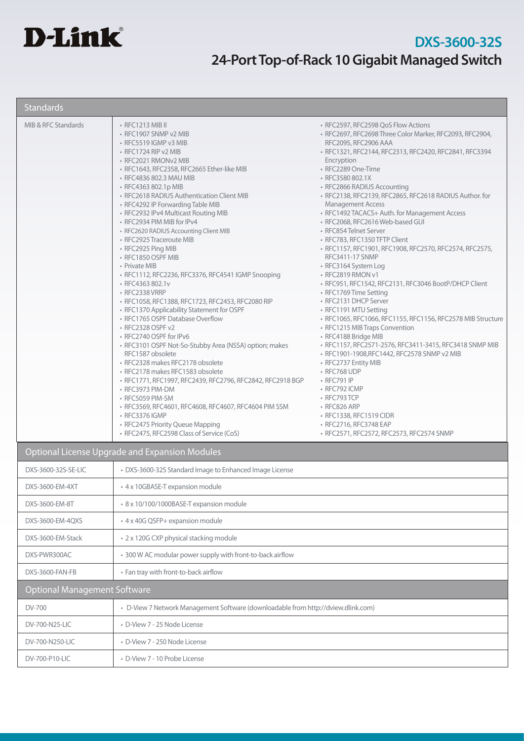

| <b>Standards</b>                    |                                                                                                                                                                                                                                                                                                                                                                                                                                                                                                                                                                                                                                                                                                                                                                                                                                                                                                                                                                                                                                                                                                                                                                                                                            |                                                                                                                                                                                                                                                                                                                                                                                                                                                                                                                                                                                                                                                                                                                                                                                                                                                                                                                                                                                                                                                                                                                                                                                                                                            |
|-------------------------------------|----------------------------------------------------------------------------------------------------------------------------------------------------------------------------------------------------------------------------------------------------------------------------------------------------------------------------------------------------------------------------------------------------------------------------------------------------------------------------------------------------------------------------------------------------------------------------------------------------------------------------------------------------------------------------------------------------------------------------------------------------------------------------------------------------------------------------------------------------------------------------------------------------------------------------------------------------------------------------------------------------------------------------------------------------------------------------------------------------------------------------------------------------------------------------------------------------------------------------|--------------------------------------------------------------------------------------------------------------------------------------------------------------------------------------------------------------------------------------------------------------------------------------------------------------------------------------------------------------------------------------------------------------------------------------------------------------------------------------------------------------------------------------------------------------------------------------------------------------------------------------------------------------------------------------------------------------------------------------------------------------------------------------------------------------------------------------------------------------------------------------------------------------------------------------------------------------------------------------------------------------------------------------------------------------------------------------------------------------------------------------------------------------------------------------------------------------------------------------------|
| MIB & RFC Standards                 | • RFC1213 MIB II<br>• RFC1907 SNMP v2 MIB<br>• RFC5519 IGMP v3 MIB<br>• RFC1724 RIP v2 MIB<br>• RFC2021 RMONv2 MIB<br>· RFC1643, RFC2358, RFC2665 Ether-like MIB<br>• RFC4836 802.3 MAU MIB<br>• RFC4363 802.1p MIB<br>• RFC2618 RADIUS Authentication Client MIB<br>• RFC4292 IP Forwarding Table MIB<br>• RFC2932 IPv4 Multicast Routing MIB<br>• RFC2934 PIM MIB for IPv4<br>• RFC2620 RADIUS Accounting Client MIB<br>• RFC2925 Traceroute MIB<br>• RFC2925 Ping MIB<br>• RFC1850 OSPF MIB<br>• Private MIB<br>· RFC1112, RFC2236, RFC3376, RFC4541 IGMP Snooping<br>• RFC4363 802.1v<br>• RFC2338 VRRP<br>· RFC1058, RFC1388, RFC1723, RFC2453, RFC2080 RIP<br>• RFC1370 Applicability Statement for OSPF<br>• RFC1765 OSPF Database Overflow<br>• RFC2328 OSPF v2<br>• RFC2740 OSPF for IPv6<br>· RFC3101 OSPF Not-So-Stubby Area (NSSA) option; makes<br>RFC1587 obsolete<br>· RFC2328 makes RFC2178 obsolete<br>• RFC2178 makes RFC1583 obsolete<br>· RFC1771, RFC1997, RFC2439, RFC2796, RFC2842, RFC2918 BGP<br>• RFC3973 PIM-DM<br>• RFC5059 PIM-SM<br>· RFC3569, RFC4601, RFC4608, RFC4607, RFC4604 PIM SSM<br>• RFC3376 IGMP<br>• RFC2475 Priority Queue Mapping<br>• RFC2475, RFC2598 Class of Service (CoS) | • RFC2597, RFC2598 QoS Flow Actions<br>· RFC2697, RFC2698 Three Color Marker, RFC2093, RFC2904,<br>RFC2095, RFC2906 AAA<br>· RFC1321, RFC2144, RFC2313, RFC2420, RFC2841, RFC3394<br>Encryption<br>• RFC2289 One-Time<br>• RFC3580 802.1X<br>• RFC2866 RADIUS Accounting<br>· RFC2138, RFC2139, RFC2865, RFC2618 RADIUS Author. for<br><b>Management Access</b><br>· RFC1492 TACACS+ Auth. for Management Access<br>· RFC2068, RFC2616 Web-based GUI<br>• RFC854 Telnet Server<br>• RFC783, RFC1350 TFTP Client<br>· RFC1157, RFC1901, RFC1908, RFC2570, RFC2574, RFC2575,<br><b>RFC3411-17 SNMP</b><br>• RFC3164 System Log<br>• RFC2819 RMON v1<br>· RFC951, RFC1542, RFC2131, RFC3046 BootP/DHCP Client<br>• RFC1769 Time Setting<br>• RFC2131 DHCP Server<br>• RFC1191 MTU Setting<br>· RFC1065, RFC1066, RFC1155, RFC1156, RFC2578 MIB Structure<br>• RFC1215 MIB Traps Convention<br>· RFC4188 Bridge MIB<br>· RFC1157, RFC2571-2576, RFC3411-3415, RFC3418 SNMP MIB<br>• RFC1901-1908, RFC1442, RFC2578 SNMP v2 MIB<br>• RFC2737 Entity MIB<br>• RFC768 UDP<br>• RFC791 IP<br>• RFC792 ICMP<br>$\cdot$ RFC793 TCP<br>• RFC826 ARP<br>• RFC1338, RFC1519 CIDR<br>• RFC2716, RFC3748 EAP<br>• RFC2571, RFC2572, RFC2573, RFC2574 SNMP |
|                                     | Optional License Upgrade and Expansion Modules                                                                                                                                                                                                                                                                                                                                                                                                                                                                                                                                                                                                                                                                                                                                                                                                                                                                                                                                                                                                                                                                                                                                                                             |                                                                                                                                                                                                                                                                                                                                                                                                                                                                                                                                                                                                                                                                                                                                                                                                                                                                                                                                                                                                                                                                                                                                                                                                                                            |
| DXS-3600-32S-SE-LIC                 | • DXS-3600-32S Standard Image to Enhanced Image License                                                                                                                                                                                                                                                                                                                                                                                                                                                                                                                                                                                                                                                                                                                                                                                                                                                                                                                                                                                                                                                                                                                                                                    |                                                                                                                                                                                                                                                                                                                                                                                                                                                                                                                                                                                                                                                                                                                                                                                                                                                                                                                                                                                                                                                                                                                                                                                                                                            |
| DXS-3600-EM-4XT                     | • 4 x 10GBASE-T expansion module                                                                                                                                                                                                                                                                                                                                                                                                                                                                                                                                                                                                                                                                                                                                                                                                                                                                                                                                                                                                                                                                                                                                                                                           |                                                                                                                                                                                                                                                                                                                                                                                                                                                                                                                                                                                                                                                                                                                                                                                                                                                                                                                                                                                                                                                                                                                                                                                                                                            |
| DXS-3600-EM-8T                      | · 8 x 10/100/1000BASE-T expansion module                                                                                                                                                                                                                                                                                                                                                                                                                                                                                                                                                                                                                                                                                                                                                                                                                                                                                                                                                                                                                                                                                                                                                                                   |                                                                                                                                                                                                                                                                                                                                                                                                                                                                                                                                                                                                                                                                                                                                                                                                                                                                                                                                                                                                                                                                                                                                                                                                                                            |
| DXS-3600-EM-4QXS                    | • 4 x 40G QSFP+ expansion module                                                                                                                                                                                                                                                                                                                                                                                                                                                                                                                                                                                                                                                                                                                                                                                                                                                                                                                                                                                                                                                                                                                                                                                           |                                                                                                                                                                                                                                                                                                                                                                                                                                                                                                                                                                                                                                                                                                                                                                                                                                                                                                                                                                                                                                                                                                                                                                                                                                            |
| DXS-3600-EM-Stack                   | • 2 x 120G CXP physical stacking module                                                                                                                                                                                                                                                                                                                                                                                                                                                                                                                                                                                                                                                                                                                                                                                                                                                                                                                                                                                                                                                                                                                                                                                    |                                                                                                                                                                                                                                                                                                                                                                                                                                                                                                                                                                                                                                                                                                                                                                                                                                                                                                                                                                                                                                                                                                                                                                                                                                            |
| DXS-PWR300AC                        | * 300 W AC modular power supply with front-to-back airflow                                                                                                                                                                                                                                                                                                                                                                                                                                                                                                                                                                                                                                                                                                                                                                                                                                                                                                                                                                                                                                                                                                                                                                 |                                                                                                                                                                                                                                                                                                                                                                                                                                                                                                                                                                                                                                                                                                                                                                                                                                                                                                                                                                                                                                                                                                                                                                                                                                            |
| DXS-3600-FAN-FB                     | • Fan tray with front-to-back airflow                                                                                                                                                                                                                                                                                                                                                                                                                                                                                                                                                                                                                                                                                                                                                                                                                                                                                                                                                                                                                                                                                                                                                                                      |                                                                                                                                                                                                                                                                                                                                                                                                                                                                                                                                                                                                                                                                                                                                                                                                                                                                                                                                                                                                                                                                                                                                                                                                                                            |
| <b>Optional Management Software</b> |                                                                                                                                                                                                                                                                                                                                                                                                                                                                                                                                                                                                                                                                                                                                                                                                                                                                                                                                                                                                                                                                                                                                                                                                                            |                                                                                                                                                                                                                                                                                                                                                                                                                                                                                                                                                                                                                                                                                                                                                                                                                                                                                                                                                                                                                                                                                                                                                                                                                                            |
| DV-700                              | • D-View 7 Network Management Software (downloadable from http://dview.dlink.com)                                                                                                                                                                                                                                                                                                                                                                                                                                                                                                                                                                                                                                                                                                                                                                                                                                                                                                                                                                                                                                                                                                                                          |                                                                                                                                                                                                                                                                                                                                                                                                                                                                                                                                                                                                                                                                                                                                                                                                                                                                                                                                                                                                                                                                                                                                                                                                                                            |
| DV-700-N25-LIC                      | • D-View 7 - 25 Node License                                                                                                                                                                                                                                                                                                                                                                                                                                                                                                                                                                                                                                                                                                                                                                                                                                                                                                                                                                                                                                                                                                                                                                                               |                                                                                                                                                                                                                                                                                                                                                                                                                                                                                                                                                                                                                                                                                                                                                                                                                                                                                                                                                                                                                                                                                                                                                                                                                                            |
| DV-700-N250-LIC                     | · D-View 7 - 250 Node License                                                                                                                                                                                                                                                                                                                                                                                                                                                                                                                                                                                                                                                                                                                                                                                                                                                                                                                                                                                                                                                                                                                                                                                              |                                                                                                                                                                                                                                                                                                                                                                                                                                                                                                                                                                                                                                                                                                                                                                                                                                                                                                                                                                                                                                                                                                                                                                                                                                            |
| DV-700-P10-LIC                      | · D-View 7 - 10 Probe License                                                                                                                                                                                                                                                                                                                                                                                                                                                                                                                                                                                                                                                                                                                                                                                                                                                                                                                                                                                                                                                                                                                                                                                              |                                                                                                                                                                                                                                                                                                                                                                                                                                                                                                                                                                                                                                                                                                                                                                                                                                                                                                                                                                                                                                                                                                                                                                                                                                            |